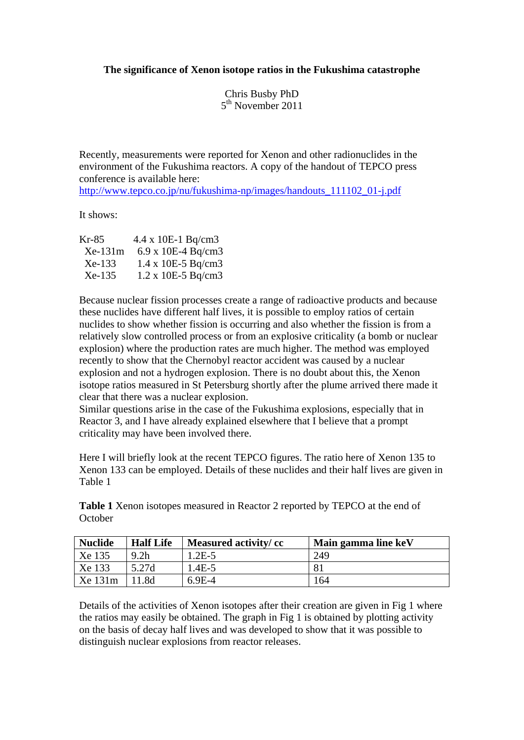## **The significance of Xenon isotope ratios in the Fukushima catastrophe**

Chris Busby PhD 5th November 2011

Recently, measurements were reported for Xenon and other radionuclides in the environment of the Fukushima reactors. A copy of the handout of TEPCO press conference is available here:

[http://www.tepco.co.jp/nu/fukushima-np/images/handouts\\_111102\\_01-j.pdf](https://mailfront.ad.ulster.ac.uk/exchweb/bin/redir.asp?URL=http://www.tepco.co.jp/nu/fukushima-np/images/handouts_111102_01-j.pdf)

It shows:

| Kr-85     | $4.4 \times 10E-1$ Bq/cm3            |  |
|-----------|--------------------------------------|--|
| $Xe-131m$ | 6.9 x 10E-4 Bq/cm3                   |  |
| $Xe-133$  | $1.4 \times 10E - 5 \text{ Bq/cm}$ 3 |  |
| Xe-135    | $1.2 \times 10E - 5 \text{ Bq/cm}$ 3 |  |

Because nuclear fission processes create a range of radioactive products and because these nuclides have different half lives, it is possible to employ ratios of certain nuclides to show whether fission is occurring and also whether the fission is from a relatively slow controlled process or from an explosive criticality (a bomb or nuclear explosion) where the production rates are much higher. The method was employed recently to show that the Chernobyl reactor accident was caused by a nuclear explosion and not a hydrogen explosion. There is no doubt about this, the Xenon isotope ratios measured in St Petersburg shortly after the plume arrived there made it clear that there was a nuclear explosion.

Similar questions arise in the case of the Fukushima explosions, especially that in Reactor 3, and I have already explained elsewhere that I believe that a prompt criticality may have been involved there.

Here I will briefly look at the recent TEPCO figures. The ratio here of Xenon 135 to Xenon 133 can be employed. Details of these nuclides and their half lives are given in Table 1

**Table 1** Xenon isotopes measured in Reactor 2 reported by TEPCO at the end of **October** 

| <b>Nuclide</b> | <b>Half Life</b> | Measured activity/cc | Main gamma line keV |
|----------------|------------------|----------------------|---------------------|
| Xe 135         | 9.2 <sub>h</sub> | $1.2E-5$             | 249                 |
| Xe 133         | 5.27d            | $1.4E-5$             | 81                  |
| $Xe$ 131 $m$   | 1.8d             | $6.9E-4$             | 164                 |

Details of the activities of Xenon isotopes after their creation are given in Fig 1 where the ratios may easily be obtained. The graph in Fig 1 is obtained by plotting activity on the basis of decay half lives and was developed to show that it was possible to distinguish nuclear explosions from reactor releases.